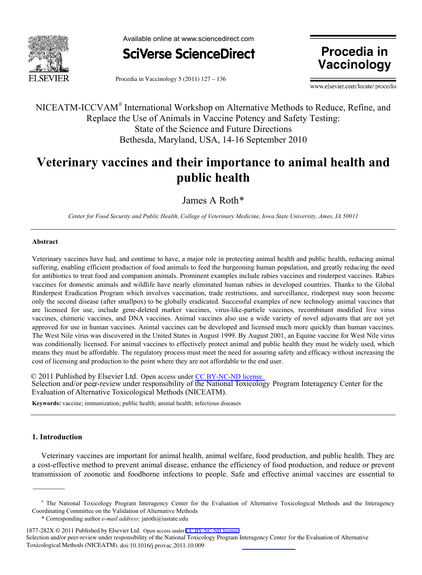



**Vaccinology**

Procedia in Vaccinology 5 (2011) 127 – 136

www.elsevier.com/locate/procedia

NICEATM-ICCVAM<sup>#</sup> International Workshop on Alternative Methods to Reduce, Refine, and Replace the Use of Animals in Vaccine Potency and Safety Testing: State of the Science and Future Directions Bethesda, Maryland, USA, 14-16 September 2010

# **Veterinary vaccines and their importance to animal health and public health**

James A Roth\*

*Center for Food Security and Public Health, College of Veterinary Medicine, Iowa State University, Ames, IA 50011*

# **Abstract**

Veterinary vaccines have had, and continue to have, a major role in protecting animal health and public health, reducing animal suffering, enabling efficient production of food animals to feed the burgeoning human population, and greatly reducing the need for antibiotics to treat food and companion animals. Prominent examples include rabies vaccines and rinderpest vaccines. Rabies vaccines for domestic animals and wildlife have nearly eliminated human rabies in developed countries. Thanks to the Global Rinderpest Eradication Program which involves vaccination, trade restrictions, and surveillance, rinderpest may soon become only the second disease (after smallpox) to be globally eradicated. Successful examples of new technology animal vaccines that are licensed for use, include gene-deleted marker vaccines, virus-like-particle vaccines, recombinant modified live virus vaccines, chimeric vaccines, and DNA vaccines. Animal vaccines also use a wide variety of novel adjuvants that are not yet approved for use in human vaccines. Animal vaccines can be developed and licensed much more quickly than human vaccines. The West Nile virus was discovered in the United States in August 1999. By August 2001, an Equine vaccine for West Nile virus was conditionally licensed. For animal vaccines to effectively protect animal and public health they must be widely used, which means they must be affordable. The regulatory process must meet the need for assuring safety and efficacy without increasing the cost of licensing and production to the point where they are not affordable to the end user.

Selection and/or peer-review under responsibility of the National Toxicology Program Interagency Center for the © 2011 Published by Elsevier Ltd. Open access under [CC BY-NC-ND license.](http://creativecommons.org/licenses/by-nc-nd/3.0/)Evaluation of Alternative Toxicological Methods (NICEATM).

**Keywords:** vaccine; immunization; public health; animal health; infectious diseases

# **1. Introduction**

Veterinary vaccines are important for animal health, animal welfare, food production, and public health. They are a cost-effective method to prevent animal disease, enhance the efficiency of food production, and reduce or prevent transmission of zoonotic and foodborne infections to people. Safe and effective animal vaccines are essential to

<sup>#</sup> The National Toxicology Program Interagency Center for the Evaluation of Alternative Toxicological Methods and the Interagency Coordinating Committee on the Validation of Alternative Methods

<sup>\*</sup> Corresponding author *e-mail address*: jaroth@iastate.edu

<sup>1877-282</sup>X © 2011 Published by Elsevier Ltd. Open access under [CC BY-NC-ND license.](http://creativecommons.org/licenses/by-nc-nd/3.0/)

Toxicological Methods (NICEATM). doi:10.1016/j.provac.2011.10.009 Selection and/or peer-review under responsibility of the National Toxicology Program Interagency Center for the Evaluation of Alternative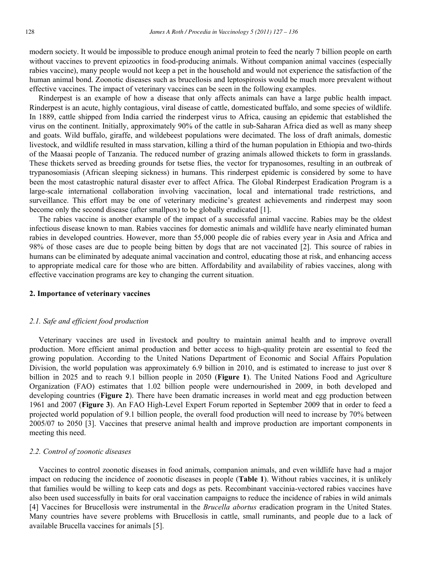modern society. It would be impossible to produce enough animal protein to feed the nearly 7 billion people on earth without vaccines to prevent epizootics in food-producing animals. Without companion animal vaccines (especially rabies vaccine), many people would not keep a pet in the household and would not experience the satisfaction of the human animal bond. Zoonotic diseases such as brucellosis and leptospirosis would be much more prevalent without effective vaccines. The impact of veterinary vaccines can be seen in the following examples.

Rinderpest is an example of how a disease that only affects animals can have a large public health impact. Rinderpest is an acute, highly contagious, viral disease of cattle, domesticated buffalo, and some species of wildlife. In 1889, cattle shipped from India carried the rinderpest virus to Africa, causing an epidemic that established the virus on the continent. Initially, approximately 90% of the cattle in sub-Saharan Africa died as well as many sheep and goats. Wild buffalo, giraffe, and wildebeest populations were decimated. The loss of draft animals, domestic livestock, and wildlife resulted in mass starvation, killing a third of the human population in Ethiopia and two-thirds of the Maasai people of Tanzania. The reduced number of grazing animals allowed thickets to form in grasslands. These thickets served as breeding grounds for tsetse flies, the vector for trypanosomes, resulting in an outbreak of trypanosomiasis (African sleeping sickness) in humans. This rinderpest epidemic is considered by some to have been the most catastrophic natural disaster ever to affect Africa. The Global Rinderpest Eradication Program is a large-scale international collaboration involving vaccination, local and international trade restrictions, and surveillance. This effort may be one of veterinary medicine's greatest achievements and rinderpest may soon become only the second disease (after smallpox) to be globally eradicated [1].

The rabies vaccine is another example of the impact of a successful animal vaccine. Rabies may be the oldest infectious disease known to man. Rabies vaccines for domestic animals and wildlife have nearly eliminated human rabies in developed countries. However, more than 55,000 people die of rabies every year in Asia and Africa and 98% of those cases are due to people being bitten by dogs that are not vaccinated [2]. This source of rabies in humans can be eliminated by adequate animal vaccination and control, educating those at risk, and enhancing access to appropriate medical care for those who are bitten. Affordability and availability of rabies vaccines, along with effective vaccination programs are key to changing the current situation.

### **2. Importance of veterinary vaccines**

### *2.1. Safe and efficient food production*

Veterinary vaccines are used in livestock and poultry to maintain animal health and to improve overall production. More efficient animal production and better access to high-quality protein are essential to feed the growing population. According to the United Nations Department of Economic and Social Affairs Population Division, the world population was approximately 6.9 billion in 2010, and is estimated to increase to just over 8 billion in 2025 and to reach 9.1 billion people in 2050 (**Figure 1**). The United Nations Food and Agriculture Organization (FAO) estimates that 1.02 billion people were undernourished in 2009, in both developed and developing countries (**Figure 2**). There have been dramatic increases in world meat and egg production between 1961 and 2007 (**Figure 3**). An FAO High-Level Expert Forum reported in September 2009 that in order to feed a projected world population of 9.1 billion people, the overall food production will need to increase by 70% between 2005/07 to 2050 [3]. Vaccines that preserve animal health and improve production are important components in meeting this need.

# *2.2. Control of zoonotic diseases*

Vaccines to control zoonotic diseases in food animals, companion animals, and even wildlife have had a major impact on reducing the incidence of zoonotic diseases in people (**Table 1**). Without rabies vaccines, it is unlikely that families would be willing to keep cats and dogs as pets. Recombinant vaccinia-vectored rabies vaccines have also been used successfully in baits for oral vaccination campaigns to reduce the incidence of rabies in wild animals [4] Vaccines for Brucellosis were instrumental in the *Brucella abortus* eradication program in the United States. Many countries have severe problems with Brucellosis in cattle, small ruminants, and people due to a lack of available Brucella vaccines for animals [5].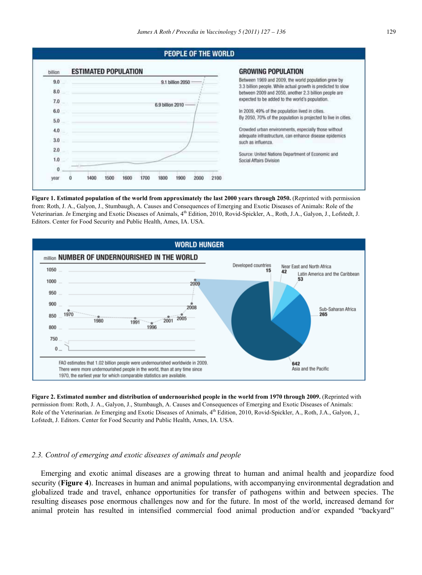

**Figure 1. Estimated population of the world from approximately the last 2000 years through 2050.** (Reprinted with permission from: Roth, J. A., Galyon, J., Stumbaugh, A. Causes and Consequences of Emerging and Exotic Diseases of Animals: Role of the Veterinarian. *In* Emerging and Exotic Diseases of Animals, 4<sup>th</sup> Edition, 2010, Rovid-Spickler, A., Roth, J.A., Galyon, J., Lofstedt, J. Editors. Center for Food Security and Public Health, Ames, IA. USA.



**Figure 2. Estimated number and distribution of undernourished people in the world from 1970 through 2009.** (Reprinted with permission from: Roth, J. A., Galyon, J., Stumbaugh, A. Causes and Consequences of Emerging and Exotic Diseases of Animals: Role of the Veterinarian. *In* Emerging and Exotic Diseases of Animals, 4<sup>th</sup> Edition, 2010, Rovid-Spickler, A., Roth, J.A., Galyon, J., Lofstedt, J. Editors. Center for Food Security and Public Health, Ames, IA. USA.

# *2.3. Control of emerging and exotic diseases of animals and people*

Emerging and exotic animal diseases are a growing threat to human and animal health and jeopardize food security (**Figure 4**). Increases in human and animal populations, with accompanying environmental degradation and globalized trade and travel, enhance opportunities for transfer of pathogens within and between species. The resulting diseases pose enormous challenges now and for the future. In most of the world, increased demand for animal protein has resulted in intensified commercial food animal production and/or expanded "backyard"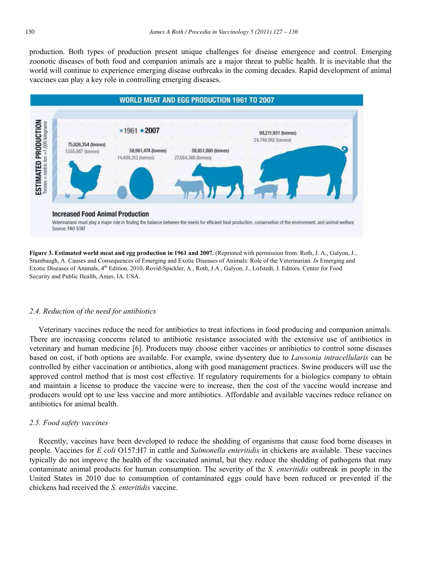production. Both types of production present unique challenges for disease emergence and control. Emerging zoonotic diseases of both food and companion animals are a major threat to public health. It is inevitable that the world will continue to experience emerging disease outbreaks in the coming decades. Rapid development of animal vaccines can play a key role in controlling emerging diseases.



Veterinarians must play a major role in finding the balance between the needs for efficient food production, conservation of the environment, and animal welfare. Source: FAO STAT

**Figure 3. Estimated world meat and egg production in 1961 and 2007.** (Reprinted with permission from: Roth, J. A., Galyon, J., Stumbaugh, A. Causes and Consequences of Emerging and Exotic Diseases of Animals: Role of the Veterinarian. *In* Emerging and Exotic Diseases of Animals, 4<sup>th</sup> Edition, 2010, Rovid-Spickler, A., Roth, J.A., Galyon, J., Lofstedt, J. Editors. Center for Food Security and Public Health, Ames, IA. USA.

# *2.4. Reduction of the need for antibiotics*

Veterinary vaccines reduce the need for antibiotics to treat infections in food producing and companion animals. There are increasing concerns related to antibiotic resistance associated with the extensive use of antibiotics in veterinary and human medicine [6]. Producers may choose either vaccines or antibiotics to control some diseases based on cost, if both options are available. For example, swine dysentery due to *Lawsonia intracellularis* can be controlled by either vaccination or antibiotics, along with good management practices. Swine producers will use the approved control method that is most cost effective. If regulatory requirements for a biologics company to obtain and maintain a license to produce the vaccine were to increase, then the cost of the vaccine would increase and producers would opt to use less vaccine and more antibiotics. Affordable and available vaccines reduce reliance on antibiotics for animal health.

### *2.5. Food safety vaccines*

Recently, vaccines have been developed to reduce the shedding of organisms that cause food borne diseases in people. Vaccines for *E coli* O157:H7 in cattle and *Salmonella enteritidis* in chickens are available. These vaccines typically do not improve the health of the vaccinated animal, but they reduce the shedding of pathogens that may contaminate animal products for human consumption. The severity of the *S. enteritidis* outbreak in people in the United States in 2010 due to consumption of contaminated eggs could have been reduced or prevented if the chickens had received the *S. enteritidis* vaccine.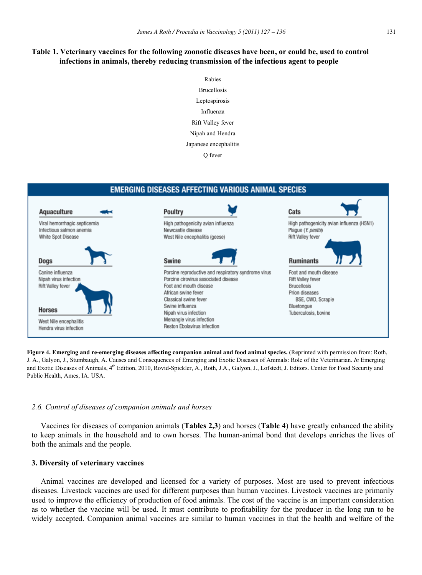# **Table 1. Veterinary vaccines for the following zoonotic diseases have been, or could be, used to control infections in animals, thereby reducing transmission of the infectious agent to people**

| Rabies                |
|-----------------------|
|                       |
| <b>Brucellosis</b>    |
| Leptospirosis         |
| Influenza             |
| Rift Valley fever     |
| Nipah and Hendra      |
| Japanese encephalitis |
| Q fever               |



**Figure 4. Emerging and re-emerging diseases affecting companion animal and food animal species.** (Reprinted with permission from: Roth, J. A., Galyon, J., Stumbaugh, A. Causes and Consequences of Emerging and Exotic Diseases of Animals: Role of the Veterinarian. *In* Emerging and Exotic Diseases of Animals, 4<sup>th</sup> Edition, 2010, Rovid-Spickler, A., Roth, J.A., Galyon, J., Lofstedt, J. Editors. Center for Food Security and Public Health, Ames, IA. USA.

# *2.6. Control of diseases of companion animals and horses*

Vaccines for diseases of companion animals (**Tables 2,3**) and horses (**Table 4**) have greatly enhanced the ability to keep animals in the household and to own horses. The human-animal bond that develops enriches the lives of both the animals and the people.

# **3. Diversity of veterinary vaccines**

Animal vaccines are developed and licensed for a variety of purposes. Most are used to prevent infectious diseases. Livestock vaccines are used for different purposes than human vaccines. Livestock vaccines are primarily used to improve the efficiency of production of food animals. The cost of the vaccine is an important consideration as to whether the vaccine will be used. It must contribute to profitability for the producer in the long run to be widely accepted. Companion animal vaccines are similar to human vaccines in that the health and welfare of the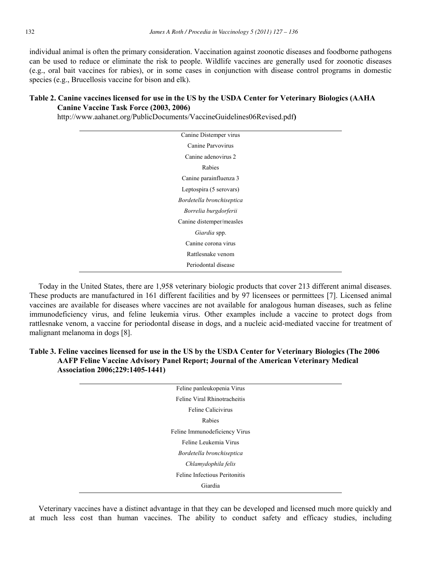individual animal is often the primary consideration. Vaccination against zoonotic diseases and foodborne pathogens can be used to reduce or eliminate the risk to people. Wildlife vaccines are generally used for zoonotic diseases (e.g., oral bait vaccines for rabies), or in some cases in conjunction with disease control programs in domestic species (e.g., Brucellosis vaccine for bison and elk).

# **Table 2. Canine vaccines licensed for use in the US by the USDA Center for Veterinary Biologics (AAHA Canine Vaccine Task Force (2003, 2006)**

http://www.aahanet.org/PublicDocuments/VaccineGuidelines06Revised.pdf**)** 

| Canine Distemper virus    |
|---------------------------|
| Canine Parvovirus         |
| Canine adenovirus 2       |
| Rabies                    |
| Canine parainfluenza 3    |
| Leptospira (5 serovars)   |
| Bordetella bronchiseptica |
| Borrelia burgdorferii     |
| Canine distemper/measles  |
| Giardia spp.              |
| Canine corona virus       |
| Rattlesnake venom         |
| Periodontal disease       |
|                           |

Today in the United States, there are 1,958 veterinary biologic products that cover 213 different animal diseases. These products are manufactured in 161 different facilities and by 97 licensees or permittees [7]. Licensed animal vaccines are available for diseases where vaccines are not available for analogous human diseases, such as feline immunodeficiency virus, and feline leukemia virus. Other examples include a vaccine to protect dogs from rattlesnake venom, a vaccine for periodontal disease in dogs, and a nucleic acid-mediated vaccine for treatment of malignant melanoma in dogs [8].

# **Table 3. Feline vaccines licensed for use in the US by the USDA Center for Veterinary Biologics (The 2006 AAFP Feline Vaccine Advisory Panel Report; Journal of the American Veterinary Medical Association 2006;229:1405-1441)**

| Feline panleukopenia Virus    |  |
|-------------------------------|--|
| Feline Viral Rhinotracheitis  |  |
| Feline Calicivirus            |  |
| Rabies                        |  |
| Feline Immunodeficiency Virus |  |
| Feline Leukemia Virus         |  |
| Bordetella bronchiseptica     |  |
| Chlamydophila felis           |  |
| Feline Infectious Peritonitis |  |
| Giardia                       |  |

Veterinary vaccines have a distinct advantage in that they can be developed and licensed much more quickly and at much less cost than human vaccines. The ability to conduct safety and efficacy studies, including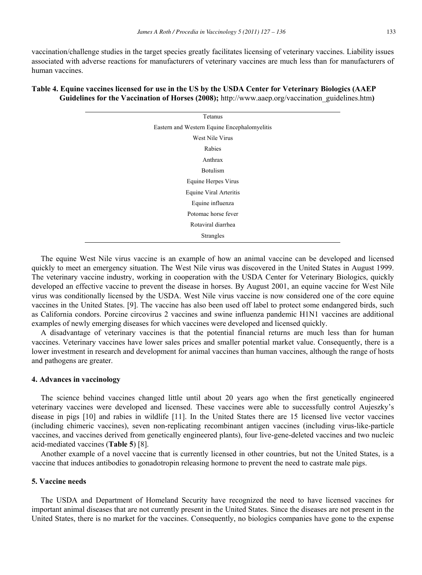vaccination/challenge studies in the target species greatly facilitates licensing of veterinary vaccines. Liability issues associated with adverse reactions for manufacturers of veterinary vaccines are much less than for manufacturers of human vaccines.

# Tetanus Eastern and Western Equine Encephalomyelitis West Nile Virus Rabies Anthrax Botulism Equine Herpes Virus Equine Viral Arteritis Equine influenza Potomac horse fever Rotaviral diarrhea Strangles

# **Table 4. Equine vaccines licensed for use in the US by the USDA Center for Veterinary Biologics (AAEP Guidelines for the Vaccination of Horses (2008);** http://www.aaep.org/vaccination\_guidelines.htm**)**

The equine West Nile virus vaccine is an example of how an animal vaccine can be developed and licensed quickly to meet an emergency situation. The West Nile virus was discovered in the United States in August 1999. The veterinary vaccine industry, working in cooperation with the USDA Center for Veterinary Biologics, quickly developed an effective vaccine to prevent the disease in horses. By August 2001, an equine vaccine for West Nile virus was conditionally licensed by the USDA. West Nile virus vaccine is now considered one of the core equine vaccines in the United States. [9]. The vaccine has also been used off label to protect some endangered birds, such as California condors. Porcine circovirus 2 vaccines and swine influenza pandemic H1N1 vaccines are additional examples of newly emerging diseases for which vaccines were developed and licensed quickly.

A disadvantage of veterinary vaccines is that the potential financial returns are much less than for human vaccines. Veterinary vaccines have lower sales prices and smaller potential market value. Consequently, there is a lower investment in research and development for animal vaccines than human vaccines, although the range of hosts and pathogens are greater.

### **4. Advances in vaccinology**

The science behind vaccines changed little until about 20 years ago when the first genetically engineered veterinary vaccines were developed and licensed. These vaccines were able to successfully control Aujeszky's disease in pigs [10] and rabies in wildlife [11]. In the United States there are 15 licensed live vector vaccines (including chimeric vaccines), seven non-replicating recombinant antigen vaccines (including virus-like-particle vaccines, and vaccines derived from genetically engineered plants), four live-gene-deleted vaccines and two nucleic acid-mediated vaccines (**Table 5**) [8].

Another example of a novel vaccine that is currently licensed in other countries, but not the United States, is a vaccine that induces antibodies to gonadotropin releasing hormone to prevent the need to castrate male pigs.

# **5. Vaccine needs**

The USDA and Department of Homeland Security have recognized the need to have licensed vaccines for important animal diseases that are not currently present in the United States. Since the diseases are not present in the United States, there is no market for the vaccines. Consequently, no biologics companies have gone to the expense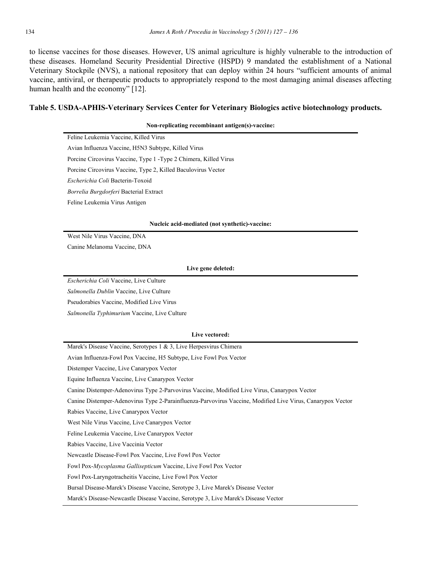to license vaccines for those diseases. However, US animal agriculture is highly vulnerable to the introduction of these diseases. Homeland Security Presidential Directive (HSPD) 9 mandated the establishment of a National Veterinary Stockpile (NVS), a national repository that can deploy within 24 hours "sufficient amounts of animal vaccine, antiviral, or therapeutic products to appropriately respond to the most damaging animal diseases affecting human health and the economy" [12].

# **Table 5. USDA-APHIS-Veterinary Services Center for Veterinary Biologics active biotechnology products.**

**Non-replicating recombinant antigen(s)-vaccine:** 

| Feline Leukemia Vaccine, Killed Virus                             |
|-------------------------------------------------------------------|
| Avian Influenza Vaccine, H5N3 Subtype, Killed Virus               |
| Porcine Circovirus Vaccine, Type 1 - Type 2 Chimera, Killed Virus |
| Porcine Circovirus Vaccine, Type 2, Killed Baculovirus Vector     |
| Escherichia Coli Bacterin-Toxoid                                  |
| <i>Borrelia Burgdorferi</i> Bacterial Extract                     |
| Feline Leukemia Virus Antigen                                     |

### **Nucleic acid-mediated (not synthetic)-vaccine:**

West Nile Virus Vaccine, DNA

Canine Melanoma Vaccine, DNA

### **Live gene deleted:**

*Escherichia Coli* Vaccine, Live Culture

*Salmonella Dublin* Vaccine, Live Culture

Pseudorabies Vaccine, Modified Live Virus

*Salmonella Typhimurium* Vaccine, Live Culture

#### **Live vectored:**

Marek's Disease Vaccine, Serotypes 1 & 3, Live Herpesvirus Chimera

Avian Influenza-Fowl Pox Vaccine, H5 Subtype, Live Fowl Pox Vector

Distemper Vaccine, Live Canarypox Vector

Equine Influenza Vaccine, Live Canarypox Vector

Canine Distemper-Adenovirus Type 2-Parvovirus Vaccine, Modified Live Virus, Canarypox Vector

Canine Distemper-Adenovirus Type 2-Parainfluenza-Parvovirus Vaccine, Modified Live Virus, Canarypox Vector

Rabies Vaccine, Live Canarypox Vector

West Nile Virus Vaccine, Live Canarypox Vector

Feline Leukemia Vaccine, Live Canarypox Vector

Rabies Vaccine, Live Vaccinia Vector

Newcastle Disease-Fowl Pox Vaccine, Live Fowl Pox Vector

Fowl Pox-*Mycoplasma Gallisepticum* Vaccine, Live Fowl Pox Vector

Fowl Pox-Laryngotracheitis Vaccine, Live Fowl Pox Vector

Bursal Disease-Marek's Disease Vaccine, Serotype 3, Live Marek's Disease Vector

Marek's Disease-Newcastle Disease Vaccine, Serotype 3, Live Marek's Disease Vector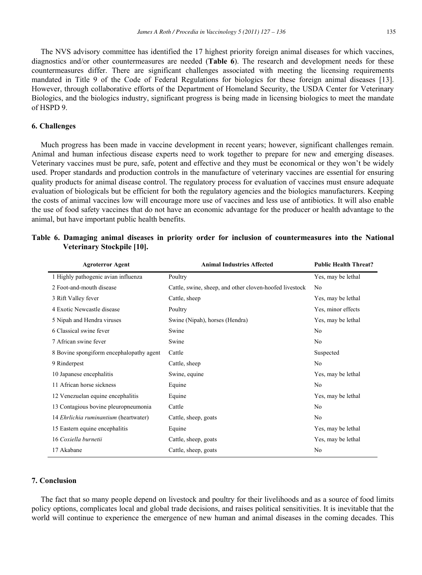The NVS advisory committee has identified the 17 highest priority foreign animal diseases for which vaccines, diagnostics and/or other countermeasures are needed (**Table 6**). The research and development needs for these countermeasures differ. There are significant challenges associated with meeting the licensing requirements mandated in Title 9 of the Code of Federal Regulations for biologics for these foreign animal diseases [13]. However, through collaborative efforts of the Department of Homeland Security, the USDA Center for Veterinary Biologics, and the biologics industry, significant progress is being made in licensing biologics to meet the mandate of HSPD 9.

# **6. Challenges**

Much progress has been made in vaccine development in recent years; however, significant challenges remain. Animal and human infectious disease experts need to work together to prepare for new and emerging diseases. Veterinary vaccines must be pure, safe, potent and effective and they must be economical or they won't be widely used. Proper standards and production controls in the manufacture of veterinary vaccines are essential for ensuring quality products for animal disease control. The regulatory process for evaluation of vaccines must ensure adequate evaluation of biologicals but be efficient for both the regulatory agencies and the biologics manufacturers. Keeping the costs of animal vaccines low will encourage more use of vaccines and less use of antibiotics. It will also enable the use of food safety vaccines that do not have an economic advantage for the producer or health advantage to the animal, but have important public health benefits.

| <b>Agroterror Agent</b>                      | <b>Animal Industries Affected</b>                       | <b>Public Health Threat?</b> |  |  |  |
|----------------------------------------------|---------------------------------------------------------|------------------------------|--|--|--|
| 1 Highly pathogenic avian influenza          | Poultry                                                 | Yes, may be lethal           |  |  |  |
| 2 Foot-and-mouth disease                     | Cattle, swine, sheep, and other cloven-hoofed livestock | N <sub>0</sub>               |  |  |  |
| 3 Rift Valley fever                          | Cattle, sheep                                           | Yes, may be lethal           |  |  |  |
| 4 Exotic Newcastle disease                   | Poultry                                                 | Yes, minor effects           |  |  |  |
| 5 Nipah and Hendra viruses                   | Swine (Nipah), horses (Hendra)                          | Yes, may be lethal           |  |  |  |
| 6 Classical swine fever                      | Swine                                                   | N <sub>0</sub>               |  |  |  |
| 7 African swine fever                        | Swine                                                   | N <sub>0</sub>               |  |  |  |
| 8 Bovine spongiform encephalopathy agent     | Cattle                                                  | Suspected                    |  |  |  |
| 9 Rinderpest                                 | Cattle, sheep                                           | N <sub>o</sub>               |  |  |  |
| 10 Japanese encephalitis                     | Swine, equine                                           | Yes, may be lethal           |  |  |  |
| 11 African horse sickness                    | Equine                                                  | N <sub>0</sub>               |  |  |  |
| 12 Venezuelan equine encephalitis            | Equine                                                  | Yes, may be lethal           |  |  |  |
| 13 Contagious bovine pleuropneumonia         | Cattle                                                  | N <sub>0</sub>               |  |  |  |
| 14 <i>Ehrlichia ruminantium</i> (heartwater) | Cattle, sheep, goats                                    | N <sub>0</sub>               |  |  |  |
| 15 Eastern equine encephalitis               | Equine                                                  | Yes, may be lethal           |  |  |  |
| 16 Coxiella burnetii                         | Cattle, sheep, goats                                    | Yes, may be lethal           |  |  |  |
| 17 Akabane                                   | Cattle, sheep, goats                                    | N <sub>0</sub>               |  |  |  |

|  |                            |  |  |  |  | Table 6. Damaging animal diseases in priority order for inclusion of countermeasures into the National |  |  |
|--|----------------------------|--|--|--|--|--------------------------------------------------------------------------------------------------------|--|--|
|  | Veterinary Stockpile [10]. |  |  |  |  |                                                                                                        |  |  |

# **7. Conclusion**

The fact that so many people depend on livestock and poultry for their livelihoods and as a source of food limits policy options, complicates local and global trade decisions, and raises political sensitivities. It is inevitable that the world will continue to experience the emergence of new human and animal diseases in the coming decades. This